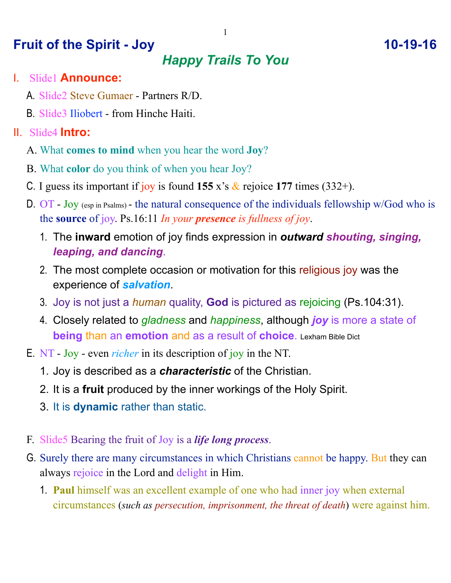## **Fruit of the Spirit - Joy 10-19-16**

# *Happy Trails To You*

#### I. Slide1 **Announce:**

- A. Slide2 Steve Gumaer Partners R/D.
- B. Slide3 Iliobert from Hinche Haiti.

### II. Slide4 **Intro:**

- A. What **comes to mind** when you hear the word **Joy**?
- B. What **color** do you think of when you hear Joy?
- C. I guess its important if joy is found  $155 \times s$  & rejoice  $177$  times  $(332+)$ .
- D. OT Joy (esp in Psalms) the natural consequence of the individuals fellowship w/God who is the **source** of joy. Ps.16:11 *In your presence is fullness of joy*.
	- 1. The **inward** emotion of joy finds expression in *outward shouting, singing, leaping, and dancing*.
	- 2. The most complete occasion or motivation for this religious joy was the experience of *salvation*.
	- 3. Joy is not just a *human* quality, **God** is pictured as rejoicing (Ps.104:31).
	- 4. Closely related to *gladness* and *happiness*, although *joy* is more a state of **being** than an **emotion** and as a result of **choice**. Lexham Bible Dict
- E. NT Joy even *richer* in its description of joy in the NT.
	- 1. Joy is described as a *characteristic* of the Christian.
	- 2. It is a **fruit** produced by the inner workings of the Holy Spirit.
	- 3. It is **dynamic** rather than static.
- F. Slide5 Bearing the fruit of Joy is a *life long process*.
- G. Surely there are many circumstances in which Christians cannot be happy. But they can always rejoice in the Lord and delight in Him.
	- 1. **Paul** himself was an excellent example of one who had inner joy when external circumstances (*such as persecution, imprisonment, the threat of death*) were against him.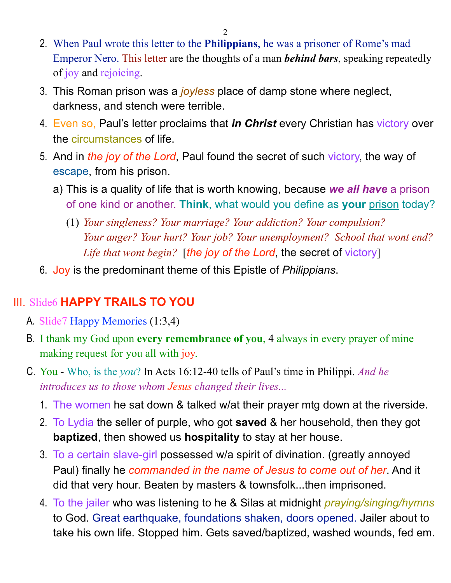2

- 2. When Paul wrote this letter to the **Philippians**, he was a prisoner of Rome's mad Emperor Nero. This letter are the thoughts of a man *behind bars*, speaking repeatedly of joy and rejoicing.
- 3. This Roman prison was a *joyless* place of damp stone where neglect, darkness, and stench were terrible.
- 4. Even so, Paul's letter proclaims that *in Christ* every Christian has victory over the circumstances of life.
- 5. And in *the joy of the Lord*, Paul found the secret of such victory, the way of escape, from his prison.
	- a) This is a quality of life that is worth knowing, because *we all have* a prison of one kind or another. **Think**, what would you define as **your** prison today?
		- (1) *Your singleness? Your marriage? Your addiction? Your compulsion? Your anger? Your hurt? Your job? Your unemployment? School that wont end? Life that wont begin?* [*the joy of the Lord*, the secret of victory]
- 6. Joy is the predominant theme of this Epistle of *Philippians*.

### III. Slide6 **HAPPY TRAILS TO YOU**

- A. Slide7 Happy Memories (1:3,4)
- B. I thank my God upon **every remembrance of you**, 4 always in every prayer of mine making request for you all with joy.
- C. You Who, is the *you*? In Acts 16:12-40 tells of Paul's time in Philippi. *And he introduces us to those whom Jesus changed their lives...*
	- 1. The women he sat down & talked w/at their prayer mtg down at the riverside.
	- 2. To Lydia the seller of purple, who got **saved** & her household, then they got **baptized**, then showed us **hospitality** to stay at her house.
	- 3. To a certain slave-girl possessed w/a spirit of divination. (greatly annoyed Paul) finally he *commanded in the name of Jesus to come out of her*. And it did that very hour. Beaten by masters & townsfolk...then imprisoned.
	- 4. To the jailer who was listening to he & Silas at midnight *praying/singing/hymns* to God. Great earthquake, foundations shaken, doors opened. Jailer about to take his own life. Stopped him. Gets saved/baptized, washed wounds, fed em.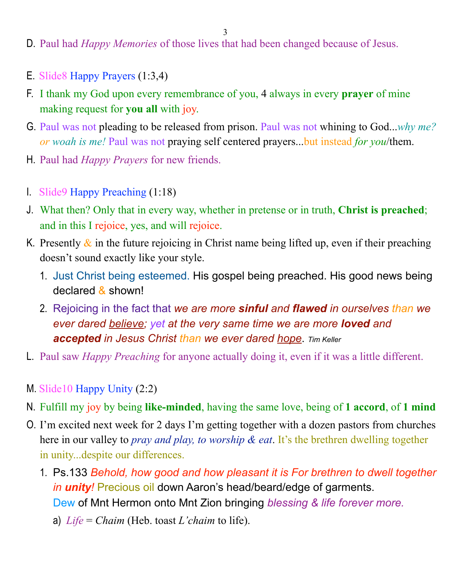3

- D. Paul had *Happy Memories* of those lives that had been changed because of Jesus.
- E. Slide8 Happy Prayers (1:3,4)
- F. I thank my God upon every remembrance of you, 4 always in every **prayer** of mine making request for **you all** with joy.
- G. Paul was not pleading to be released from prison. Paul was not whining to God...*why me? or woah is me!* Paul was not praying self centered prayers...but instead *for you*/them.
- H. Paul had *Happy Prayers* for new friends.
- I. Slide9 Happy Preaching (1:18)
- J. What then? Only that in every way, whether in pretense or in truth, **Christ is preached**; and in this I rejoice, yes, and will rejoice.
- K. Presently  $\&$  in the future rejoicing in Christ name being lifted up, even if their preaching doesn't sound exactly like your style.
	- 1. Just Christ being esteemed. His gospel being preached. His good news being declared & shown!
	- 2. Rejoicing in the fact that *we are more sinful and flawed in ourselves than we ever dared believe; yet at the very same time we are more loved and accepted in Jesus Christ than we ever dared hope*. *Tim Keller*
- L. Paul saw *Happy Preaching* for anyone actually doing it, even if it was a little different.
- M. Slide10 Happy Unity (2:2)
- N. Fulfill my joy by being **like-minded**, having the same love, being of **1 accord**, of **1 mind**
- O. I'm excited next week for 2 days I'm getting together with a dozen pastors from churches here in our valley to *pray and play, to worship & eat*. It's the brethren dwelling together in unity...despite our differences.
	- 1. Ps.133 *Behold, how good and how pleasant it is For brethren to dwell together in unity!* Precious oil down Aaron's head/beard/edge of garments. Dew of Mnt Hermon onto Mnt Zion bringing *blessing & life forever more.* 
		- a) *Life* = *Chaim* (Heb. toast *L'chaim* to life).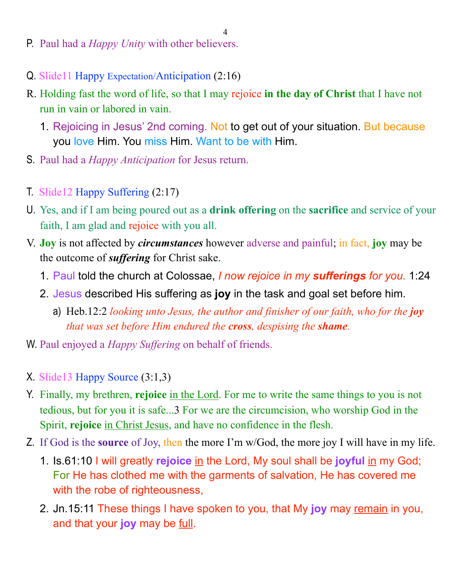4

- P. Paul had a *Happy Unity* with other believers.
- Q. Slide11 Happy Expectation/Anticipation (2:16)
- R. Holding fast the word of life, so that I may rejoice **in the day of Christ** that I have not run in vain or labored in vain.
	- 1. Rejoicing in Jesus' 2nd coming. Not to get out of your situation. But because you love Him. You miss Him. Want to be with Him.
- S. Paul had a *Happy Anticipation* for Jesus return.
- T. Slide12 Happy Suffering (2:17)
- U. Yes, and if I am being poured out as a **drink offering** on the **sacrifice** and service of your faith, I am glad and rejoice with you all.
- V. **Joy** is not affected by *circumstances* however adverse and painful; in fact, **joy** may be the outcome of *suffering* for Christ sake.
	- 1. Paul told the church at Colossae, *I now rejoice in my sufferings for you.* 1:24
	- 2. Jesus described His suffering as **joy** in the task and goal set before him.
		- a) Heb.12:2 *looking unto Jesus, the author and finisher of our faith, who for the <i>joy that was set before Him endured the cross, despising the shame.*
- W. Paul enjoyed a *Happy Suffering* on behalf of friends.
- X. Slide13 Happy Source (3:1,3)
- Y. Finally, my brethren, **rejoice** in the Lord. For me to write the same things to you is not tedious, but for you it is safe...3 For we are the circumcision, who worship God in the Spirit, **rejoice** in Christ Jesus, and have no confidence in the flesh.
- Z. If God is the **source** of Joy, then the more I'm w/God, the more joy I will have in my life.
	- 1. Is.61:10 I will greatly **rejoice** in the Lord, My soul shall be **joyful** in my God; For He has clothed me with the garments of salvation, He has covered me with the robe of righteousness,
	- 2. Jn.15:11 These things I have spoken to you, that My **joy** may remain in you, and that your **joy** may be full.